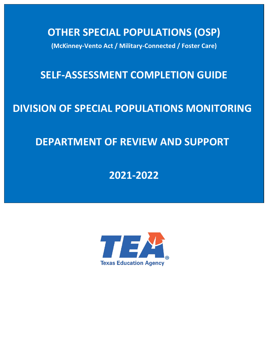**OTHER SPECIAL POPULATIONS (OSP)** 

**(McKinney-Vento Act / Military-Connected / Foster Care)** 

## **SELF-ASSESSMENT COMPLETION GUIDE**

# **DIVISION OF SPECIAL POPULATIONS MONITORING**

## **DEPARTMENT OF REVIEW AND SUPPORT**

## **2021-2022**

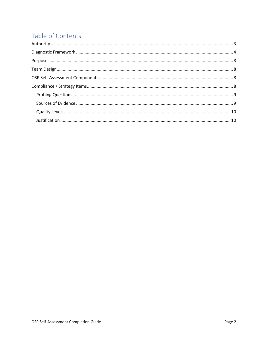## Table of Contents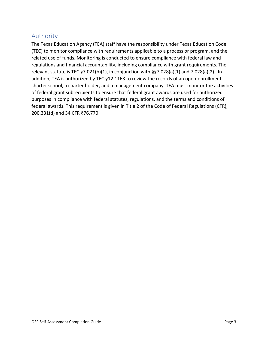## <span id="page-2-0"></span>Authority

The Texas Education Agency (TEA) staff have the responsibility under Texas Education Code (TEC) to monitor compliance with requirements applicable to a process or program, and the related use of funds. Monitoring is conducted to ensure compliance with federal law and regulations and financial accountability, including compliance with grant requirements. The relevant statute is TEC §7.021(b)(1), in conjunction with §§7.028(a)(1) and 7.028(a)(2). In addition, TEA is authorized by TEC §12.1163 to review the records of an open-enrollment charter school, a charter holder, and a management company. TEA must monitor the activities of federal grant subrecipients to ensure that federal grant awards are used for authorized purposes in compliance with federal statutes, regulations, and the terms and conditions of federal awards. This requirement is given in Title 2 of the Code of Federal Regulations (CFR), 200.331(d) and 34 CFR §76.770.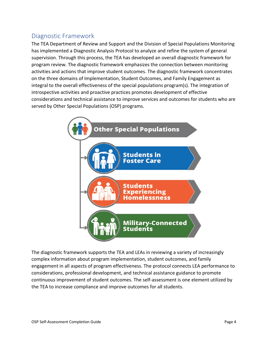## <span id="page-3-0"></span>Diagnostic Framework

The TEA Department of Review and Support and the Division of Special Populations Monitoring has implemented a Diagnostic Analysis Protocol to analyze and refine the system of general supervision. Through this process, the TEA has developed an overall diagnostic framework for program review. The diagnostic framework emphasizes the connection between monitoring activities and actions that improve student outcomes. The diagnostic framework concentrates on the three domains of Implementation, Student Outcomes, and Family Engagement as integral to the overall effectiveness of the special populations program(s). The integration of introspective activities and proactive practices promotes development of effective considerations and technical assistance to improve services and outcomes for students who are served by Other Special Populations (OSP) programs.



The diagnostic framework supports the TEA and LEAs in reviewing a variety of increasingly complex information about program implementation, student outcomes, and family engagement in all aspects of program effectiveness. The protocol connects LEA performance to considerations, professional development, and technical assistance guidance to promote continuous improvement of student outcomes. The self-assessment is one element utilized by the TEA to increase compliance and improve outcomes for all students.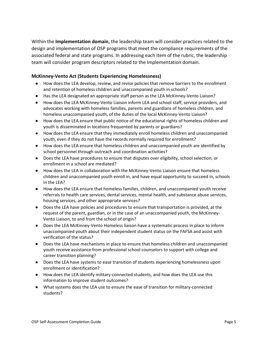Within the **Implementation domain**, the leadership team will consider practices related to the design and implementation of OSP programs that meet the compliance requirements of the associated federal and state programs. In addressing each item of the rubric, the leadership team will consider program descriptors related to the Implementation domain.

#### **McKinney-Vento Act (Students Experiencing Homelessness)**

- How does the LEA develop, review, and revise policies that remove barriers to the enrollment and retention of homeless children and unaccompanied youth in schools?
- Has the LEA designated an appropriate staff person as the LEA McKinney-Vento Liaison?
- How does the LEA McKinney-Vento Liaison inform LEA and school staff, service providers, and advocates working with homeless families, parents and guardians of homeless children, and homeless unaccompanied youth, of the duties of the local McKinney-Vento Liaison?
- How does the LEA ensure that public notice of the educational rights of homeless children and youth is disseminated in locations frequented by parents or guardians?
- How does the LEA ensure that they immediately enroll homeless children and unaccompanied youth, even if they do not have the records normally required for enrollment?
- How does the LEA ensure that homeless children and unaccompanied youth are identified by school personnel through outreach and coordination activities?
- Does the LEA have procedures to ensure that disputes over eligibility, school selection, or enrollment in a school are mediated?
- How does the LEA in collaboration with the McKinney-Vento Liaison ensure that homeless children and unaccompanied youth enroll in, and have equal opportunity to succeed in, schools in the LEA?
- How does the LEA ensure that homeless families, children, and unaccompanied youth receive referrals to health care services, dental services, mental health, and substance abuse services, housing services, and other appropriate services?
- Does the LEA have policies and procedures to ensure that transportation is provided, at the request of the parent, guardian, or in the case of an unaccompanied youth, the McKinney-Vento Liaison, to and from the school of origin?
- Does the LEA McKinney-Vento Homeless liaison have a systematic process in place to inform unaccompanied youth about their independent student status on the FAFSA and assist with verification of the status?
- Does the LEA have mechanisms in place to ensure that homeless children and unaccompanied youth receive assistance from professional school counselors to support with college and career transition planning?
- Does the LEA have systems to ease transition of students experiencing homelessness upon enrollment or identification?
- How does the LEA identify military-connected students, and how does the LEA use this information to improve student outcomes?
- What systems does the LEA use to ensure the ease of transition for military-connected students?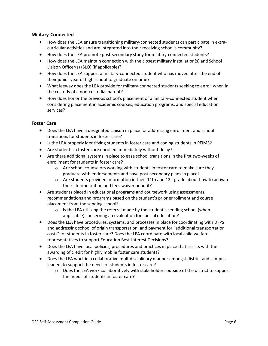#### **Military-Connected**

- How does the LEA ensure transitioning military-connected students can participate in extracurricular activities and are integrated into their receiving school's community?
- How does the LEA promote post-secondary study for military-connected students?
- How does the LEA maintain connection with the closest military installation(s) and School Liaison Officer(s) (SLO) (if applicable)?
- How does the LEA support a military-connected student who has moved after the end of their junior year of high school to graduate on time?
- What leeway does the LEA provide for military-connected students seeking to enroll when in the custody of a non-custodial parent?
- How does honor the previous school's placement of a military-connected student when considering placement in academic courses, education programs, and special education services?

#### **Foster Care**

- Does the LEA have a designated Liaison in place for addressing enrollment and school transitions for students in foster care?
- Is the LEA properly identifying students in foster care and coding students in PEIMS?
- Are students in foster care enrolled immediately without delay?
- Are there additional systems in place to ease school transitions in the first two-weeks of enrollment for students in foster care?
	- o Are school counselors working with students in foster care to make sure they graduate with endorsements and have post-secondary plans in place?
	- $\circ$  Are students provided information in their 11th and 12<sup>th</sup> grade about how to activate their lifetime tuition and fees waiver benefit?
- Are students placed in educational programs and coursework using assessments, recommendations and programs based on the student's prior enrollment and course placement from the sending school?
	- $\circ$  Is the LEA utilizing the referral made by the student's sending school (when applicable) concerning an evaluation for special education?
- Does the LEA have procedures, systems, and processes in place for coordinating with DFPS and addressing school of origin transportation, and payment for "additional transportation costs" for students in foster care? Does the LEA coordinate with local child welfare representatives to support Education Best-Interest Decisions?
- Does the LEA have local policies, procedures and practices in place that assists with the awarding of credit for highly mobile foster care students?
- Does the LEA work in a collaborative multidisciplinary manner amongst district and campus leaders to support the needs of students in foster care?
	- o Does the LEA work collaboratively with stakeholders outside of the district to support the needs of students in foster care?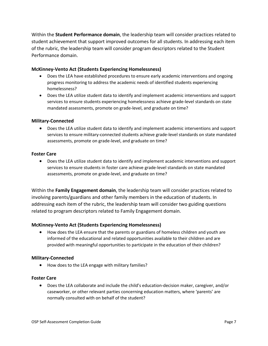Within the **Student Performance domain**, the leadership team will consider practices related to student achievement that support improved outcomes for all students. In addressing each item of the rubric, the leadership team will consider program descriptors related to the Student Performance domain.

#### **McKinney-Vento Act (Students Experiencing Homelessness)**

- Does the LEA have established procedures to ensure early academic interventions and ongoing progress monitoring to address the academic needs of identified students experiencing homelessness?
- Does the LEA utilize student data to identify and implement academic interventions and support services to ensure students experiencing homelessness achieve grade-level standards on state mandated assessments, promote on grade-level, and graduate on time?

#### **Military-Connected**

• Does the LEA utilize student data to identify and implement academic interventions and support services to ensure military-connected students achieve grade-level standards on state mandated assessments, promote on grade-level, and graduate on time?

#### **Foster Care**

• Does the LEA utilize student data to identify and implement academic interventions and support services to ensure students in foster care achieve grade-level standards on state mandated assessments, promote on grade-level, and graduate on time?

Within the **Family Engagement domain**, the leadership team will consider practices related to involving parents/guardians and other family members in the education of students. In addressing each item of the rubric, the leadership team will consider two guiding questions related to program descriptors related to Family Engagement domain.

#### **McKinney-Vento Act (Students Experiencing Homelessness)**

• How does the LEA ensure that the parents or guardians of homeless children and youth are informed of the educational and related opportunities available to their children and are provided with meaningful opportunities to participate in the education of their children?

#### **Military-Connected**

• How does to the LEA engage with military families?

#### **Foster Care**

• Does the LEA collaborate and include the child's education-decision maker, caregiver, and/or caseworker, or other relevant parties concerning education matters, where 'parents' are normally consulted with on behalf of the student?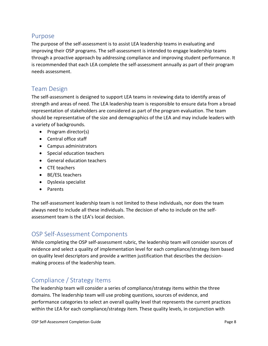### <span id="page-7-0"></span>Purpose

The purpose of the self-assessment is to assist LEA leadership teams in evaluating and improving their OSP programs. The self-assessment is intended to engage leadership teams through a proactive approach by addressing compliance and improving student performance. It is recommended that each LEA complete the self-assessment annually as part of their program needs assessment.

### <span id="page-7-1"></span>Team Design

The self-assessment is designed to support LEA teams in reviewing data to identify areas of strength and areas of need. The LEA leadership team is responsible to ensure data from a broad representation of stakeholders are considered as part of the program evaluation. The team should be representative of the size and demographics of the LEA and may include leaders with a variety of backgrounds.

- Program director(s)
- Central office staff
- Campus administrators
- Special education teachers
- General education teachers
- CTE teachers
- BE/ESL teachers
- Dyslexia specialist
- Parents

The self-assessment leadership team is not limited to these individuals, nor does the team always need to include all these individuals. The decision of who to include on the selfassessment team is the LEA's local decision.

## <span id="page-7-2"></span>OSP Self-Assessment Components

While completing the OSP self-assessment rubric, the leadership team will consider sources of evidence and select a quality of implementation level for each compliance/strategy item based on quality level descriptors and provide a written justification that describes the decisionmaking process of the leadership team.

## <span id="page-7-3"></span>Compliance / Strategy Items

The leadership team will consider a series of compliance/strategy items within the three domains. The leadership team will use probing questions, sources of evidence, and performance categories to select an overall quality level that represents the current practices within the LEA for each compliance/strategy item. These quality levels, in conjunction with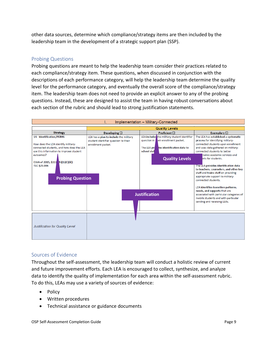other data sources, determine which compliance/strategy items are then included by the leadership team in the development of a strategic support plan (SSP).

### <span id="page-8-0"></span>Probing Questions

Probing questions are meant to help the leadership team consider their practices related to each compliance/strategy item. These questions, when discussed in conjunction with the descriptions of each performance category, will help the leadership team determine the quality level for the performance category, and eventually the overall score of the compliance/strategy item. The leadership team does not need to provide an explicit answer to any of the probing questions. Instead, these are designed to assist the team in having robust conversations about each section of the rubric and should lead to strong justification statements.



#### <span id="page-8-1"></span>Sources of Evidence

Throughout the self-assessment, the leadership team will conduct a holistic review of current and future improvement efforts. Each LEA is encouraged to collect, synthesize, and analyze data to identify the quality of implementation for each area within the self-assessment rubric. To do this, LEAs may use a variety of sources of evidence:

- Policy
- Written procedures
- Technical assistance or guidance documents